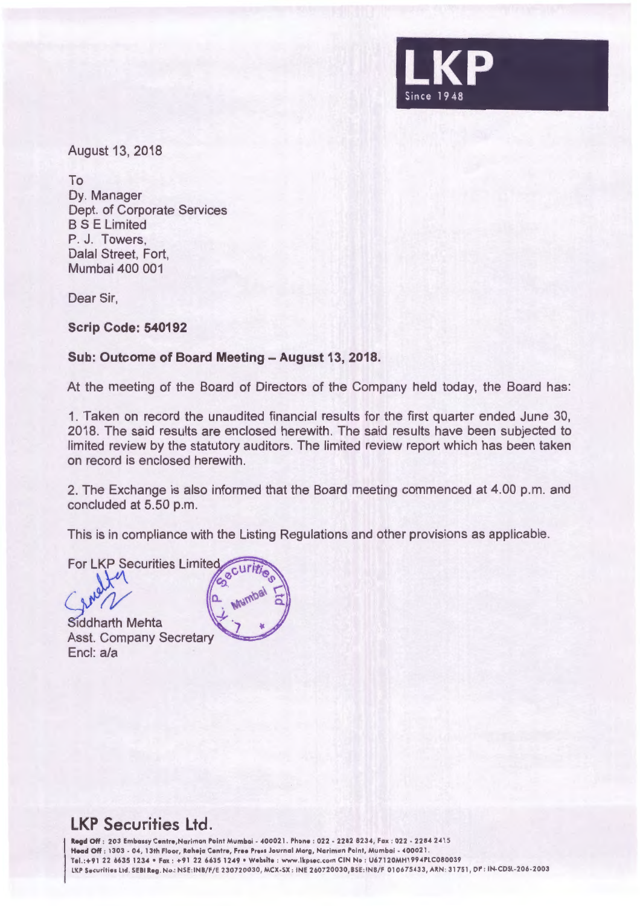

August 13, 2018

To Dy. Manager Dept. of Corporate Services BS E Limited P. J. Towers, Dalal Street, Fort, Mumbai 400 001

Dear Sir,

**Scrip Code: 540192** 

### Sub: Outcome of Board Meeting - August 13, 2018.

At the meeting of the Board of Directors of the Company held today, the Board has:

1. Taken on record the unaudited financial results for the first quarter ended June 30, 2018. The said results are enclosed herewith. The said results have been subjected to limited review by the statutory auditors. The limited review report which has been taken on record is enclosed herewith.

2. The Exchange is also informed that the Board meeting commenced at 4.00 p.m. and concluded at 5.50 p.m.

This is in compliance with the Listing Regulations and other provisions as applicable.

**For LKP Securities Limited** 

Siddharth Mehta **Asst. Company Secretary** Encl: a/a



## **LKP Securities Ltd.**

Regd Off : 203 Embassy Centre,Nariman Point Mumbai - 400021. Phone : 022 - 2282 8234, Fax : 022 - 2284 2415 Head Off : 1303 - 04, 13th Floor, Raheja Centre, Free Press Journal Marg, Nariman Point, Mumbai - 400021. Tel.:+91 22 6635 1234 • Fax : +91 22 6635 1249 • Website : www.lkpsec.com CIN No : U67120MH1994PLC080039 LKP Securities Ltd. SEBI Reg. No.: NSE:INB/F/E 230720030, MCX-SX : INE 260720030, BSE: INB/F 010675433, ARN: 31751, DP : IN-CDSL-206-2003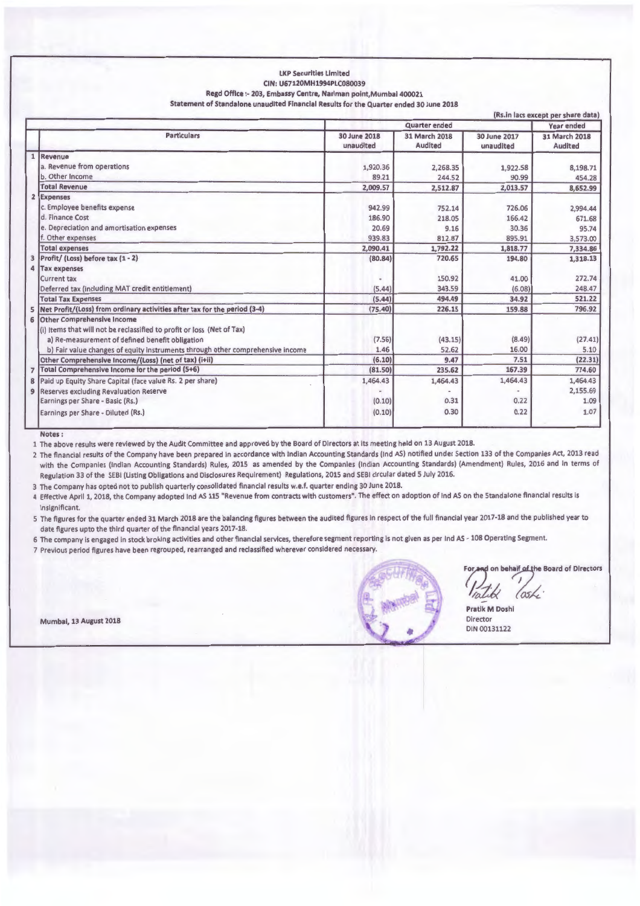#### LKP Securities Limited CIN: U67120MH1994PLC080039 Regd Office :- 203, Embassy Centre, Nariman point, Mumbai 400021 Statement of Standalone unaudited Financial Results for the Quarter ended 30 June 2018

| (Rs.in lacs except per share data) |                                                                                                                                                                                                                                                  |                           |                          |                           |                                 |
|------------------------------------|--------------------------------------------------------------------------------------------------------------------------------------------------------------------------------------------------------------------------------------------------|---------------------------|--------------------------|---------------------------|---------------------------------|
|                                    |                                                                                                                                                                                                                                                  | <b>Quarter</b> ended      |                          |                           | Year ended                      |
|                                    | <b>Particulars</b>                                                                                                                                                                                                                               | 30 June 2018<br>unaudited | 31 March 2018<br>Audited | 30 June 2017<br>unaudited | 31 March 2018<br><b>Audited</b> |
|                                    | Revenue                                                                                                                                                                                                                                          |                           |                          |                           |                                 |
|                                    | a. Revenue from operations                                                                                                                                                                                                                       | 1,920.36                  | 2,268.35                 | 1,922.58                  | 8,198.71                        |
|                                    | b. Other Income                                                                                                                                                                                                                                  | 89.21                     | 244.52                   | 90.99                     | 454.28                          |
|                                    | <b>Total Revenue</b>                                                                                                                                                                                                                             | 2,009.57                  | 2,512.87                 | 2,013.57                  | 8,652.99                        |
|                                    | 2 Expenses                                                                                                                                                                                                                                       |                           |                          |                           |                                 |
|                                    | c. Employee benefits expense                                                                                                                                                                                                                     | 942.99                    | 752.14                   | 726.06                    | 2,994.44                        |
|                                    | d. Finance Cost                                                                                                                                                                                                                                  | 186.90                    | 218.05                   | 166.42                    | 671.68                          |
|                                    | e. Depreciation and amortisation expenses                                                                                                                                                                                                        | 20.69                     | 9.16                     | 30.36                     | 95.74                           |
|                                    | f. Other expenses                                                                                                                                                                                                                                | 939.83                    | 812.87                   | 895.91                    | 3,573.00                        |
|                                    | <b>Total expenses</b>                                                                                                                                                                                                                            | 2,090.41                  | 1,792.22                 | 1,818.77                  | 7,334.86                        |
| 3                                  | Profit/ (Loss) before tax (1 - 2)                                                                                                                                                                                                                | (80.84)                   | 720.65                   | 194.80                    | 1,318.13                        |
| 4                                  | <b>Tax expenses</b>                                                                                                                                                                                                                              |                           |                          |                           |                                 |
|                                    | <b>Current tax</b>                                                                                                                                                                                                                               |                           | 150.92                   | 41.00                     | 272.74                          |
|                                    | Deferred tax (including MAT credit entitlement)                                                                                                                                                                                                  | (5.44)                    | 343.59                   | (6.08)                    | 248.47                          |
|                                    | <b>Total Tax Expenses</b>                                                                                                                                                                                                                        | (5.44)                    | 494.49                   | 34.92                     | 521.22                          |
| 5                                  | Net Profit/(Loss) from ordinary activities after tax for the period (3-4)                                                                                                                                                                        | (75.40)                   | 226.15                   | 159.88                    | 796.92                          |
| 6                                  | <b>Other Comprehensive Income</b><br>(i) Items that will not be reclassified to profit or loss (Net of Tax)<br>a) Re-measurement of defined benefit obligation<br>b) Fair value changes of equity instruments through other comprehensive income | (7.56)<br>1.46            | (43.15)<br>52.62         | (8.49)<br>16.00           | (27.41)<br>5.10                 |
|                                    | Other Comprehensive Income/(Loss) (net of tax) (i+ii)                                                                                                                                                                                            | (6.10)                    | 9.47                     | 7.51                      | (22.31)                         |
| $\overline{7}$                     | Total Comprehensive Income for the period (5+6)                                                                                                                                                                                                  | (81.50)                   | 235.62                   | 167.39                    | 774.60                          |
|                                    | 8 Paid up Equity Share Capital (face value Rs. 2 per share)                                                                                                                                                                                      | 1,464.43                  | 1,464.43                 | 1,464.43                  | 1,464.43                        |
| $\mathbf{9}$                       | Reserves excluding Revaluation Reserve                                                                                                                                                                                                           |                           |                          |                           | 2,155.69                        |
|                                    | Earnings per Share - Basic (Rs.)                                                                                                                                                                                                                 | (0.10)                    | 0.31                     | 0.22                      | 1.09                            |
|                                    | Earnings per Share - Diluted (Rs.)                                                                                                                                                                                                               | (0.10)                    | 0.30                     | 0.22                      | 1.07                            |

**Notes:** 

1 The above results were reviewed by the Audit Committee and approved by the Board of Directors at its meeting held on 13 August 2018.

2 The financial results of the Company have been prepared in accordance with Indian Accounting Standards (Ind AS) notified under Section 133 of the Companies Act, 2013 read with the Companies (Indian Accounting Standards) Rules, 2015 as amended by the Companies (Indian Accounting Standards) (Amendment) Rules, 2016 and in terms of Regulation 33 of the SEBI (Listing Obligations and Disclosures Requirement) Regulations, 2015 and SEBI circular dated 5 July 2016.

3 The Company has opted not to publish quarterly consolidated financial results w.e.f. quarter ending 30 June 2018.

4 Effective April 1, 2018, the Company adopted Ind AS 115 "Revenue from contracts with customers". The effect on adoption of Ind AS on the Standalone financial results is insignificant.

5 The figures for the quarter ended 31 March 2018 are the balancing figures between the audited figures in respect of the full financial year 2017-18 and the published year to date figures upto the third quarter of the financial years 2017-18.

6 The company is engaged in stock broking activities and other financial services, therefore segment reporting is not given as per Ind AS - 108 Operating Segment.

7 Previous period figures have been regrouped, rearranged and reclassified wherever considered necessary.

Mumbai, 13 August 2018



For and on behalf of the Board of Directors

Pratik M Doshi Director DIN 00131122

vality lashe